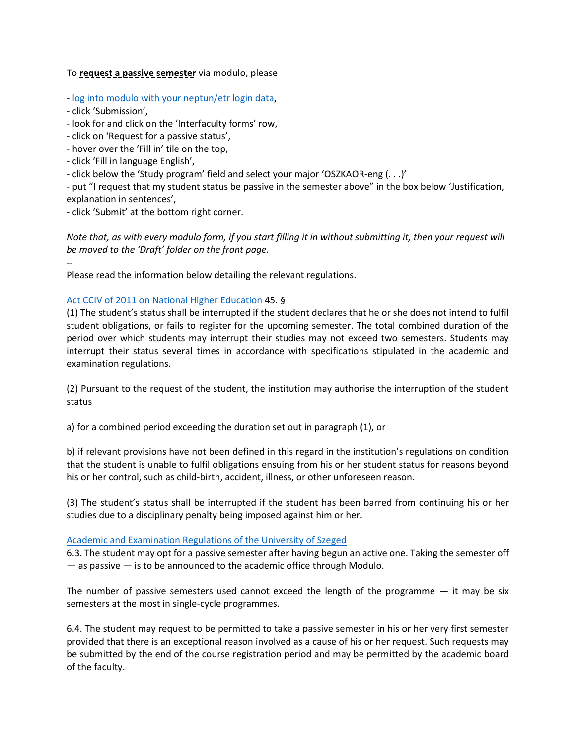## To **request a passive semester** via modulo, please

- [log into modulo with your neptun/etr login data,](https://modulo.etr.u-szeged.hu/Modulo2/default/en/home)

- click 'Submission',

--

- look for and click on the 'Interfaculty forms' row,
- click on 'Request for a passive status',
- hover over the 'Fill in' tile on the top,
- click 'Fill in language English',
- click below the 'Study program' field and select your major 'OSZKAOR-eng (. . .)'

- put "I request that my student status be passive in the semester above" in the box below 'Justification, explanation in sentences',

- click 'Submit' at the bottom right corner.

*Note that, as with every modulo form, if you start filling it in without submitting it, then your request will be moved to the 'Draft' folder on the front page.*

Please read the information below detailing the relevant regulations.

## [Act CCIV of 2011 on National Higher Education](http://www.med.u-szeged.hu/download.php?docID=102157) 45. §

(1) The student's status shall be interrupted if the student declares that he or she does not intend to fulfil student obligations, or fails to register for the upcoming semester. The total combined duration of the period over which students may interrupt their studies may not exceed two semesters. Students may interrupt their status several times in accordance with specifications stipulated in the academic and examination regulations.

(2) Pursuant to the request of the student, the institution may authorise the interruption of the student status

a) for a combined period exceeding the duration set out in paragraph (1), or

b) if relevant provisions have not been defined in this regard in the institution's regulations on condition that the student is unable to fulfil obligations ensuing from his or her student status for reasons beyond his or her control, such as child-birth, accident, illness, or other unforeseen reason.

(3) The student's status shall be interrupted if the student has been barred from continuing his or her studies due to a disciplinary penalty being imposed against him or her.

## [Academic and Examination Regulations of the University of Szeged](https://web5.etr.u-szeged.hu/ETRdok/file.axd?file=university-szeged_academic_and_examination_regulations_20130506_en.pdf)

6.3. The student may opt for a passive semester after having begun an active one. Taking the semester off  $-$  as passive  $-$  is to be announced to the academic office through Modulo.

The number of passive semesters used cannot exceed the length of the programme  $-$  it may be six semesters at the most in single-cycle programmes.

6.4. The student may request to be permitted to take a passive semester in his or her very first semester provided that there is an exceptional reason involved as a cause of his or her request. Such requests may be submitted by the end of the course registration period and may be permitted by the academic board of the faculty.